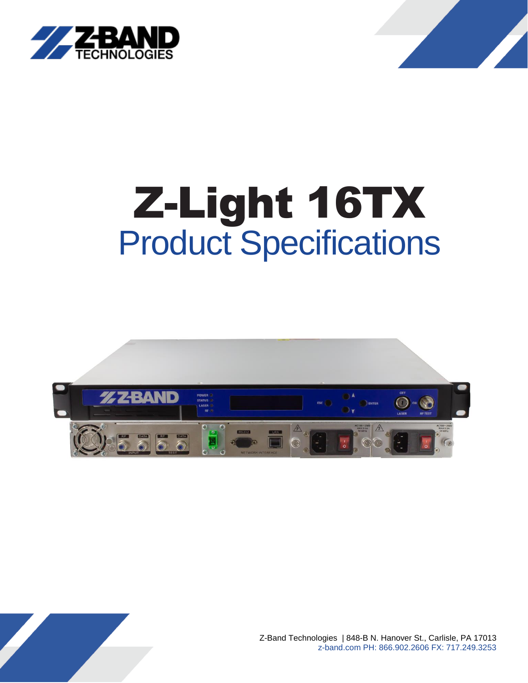



# Z-Light 16TX Product Specifications



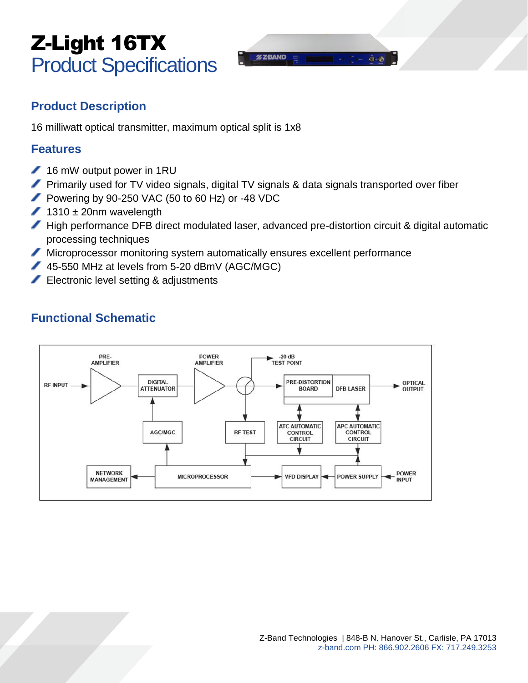## Z-Light 16TX Product Specifications

### **Product Description**

16 milliwatt optical transmitter, maximum optical split is 1x8

#### **Features**

- 16 mW output power in 1RU
- Primarily used for TV video signals, digital TV signals & data signals transported over fiber
- Powering by 90-250 VAC (50 to 60 Hz) or -48 VDC
- $1310 \pm 20$ nm wavelength
- High performance DFB direct modulated laser, advanced pre-distortion circuit & digital automatic processing techniques
- Microprocessor monitoring system automatically ensures excellent performance
- 45-550 MHz at levels from 5-20 dBmV (AGC/MGC)
- Electronic level setting & adjustments

## **Functional Schematic**